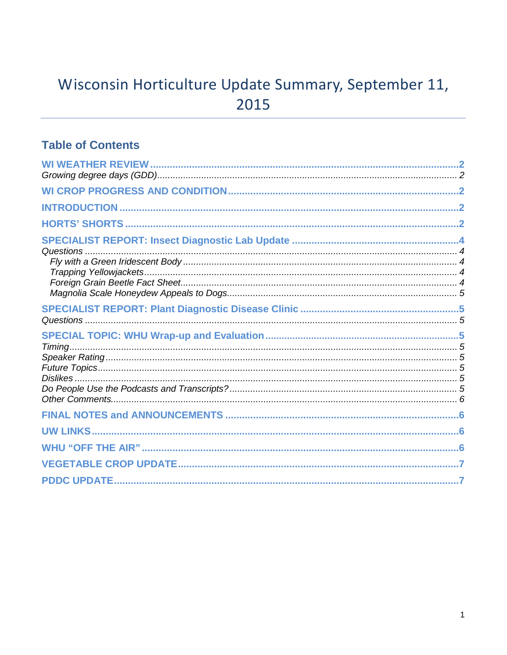# Wisconsin Horticulture Update Summary, September 11, 2015

### **Table of Contents**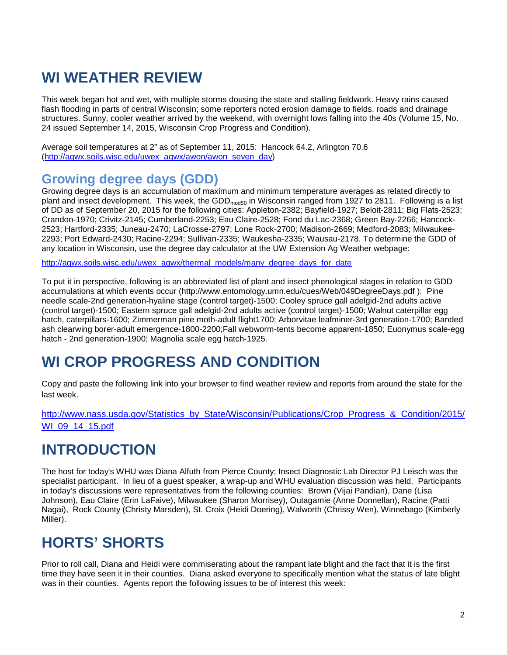# **WI WEATHER REVIEW**

This week began hot and wet, with multiple storms dousing the state and stalling fieldwork. Heavy rains caused flash flooding in parts of central Wisconsin; some reporters noted erosion damage to fields, roads and drainage structures. Sunny, cooler weather arrived by the weekend, with overnight lows falling into the 40s (Volume 15, No. 24 issued September 14, 2015, Wisconsin Crop Progress and Condition).

Average soil temperatures at 2" as of September 11, 2015: Hancock 64.2, Arlington 70.6 [\(http://agwx.soils.wisc.edu/uwex\\_agwx/awon/awon\\_seven\\_day\)](http://agwx.soils.wisc.edu/uwex_agwx/awon/awon_seven_day)

### **Growing degree days (GDD)**

Growing degree days is an accumulation of maximum and minimum temperature averages as related directly to plant and insect development. This week, the GDD<sub>mod50</sub> in Wisconsin ranged from 1927 to 2811. Following is a list of DD as of September 20, 2015 for the following cities: Appleton-2382; Bayfield-1927; Beloit-2811; Big Flats-2523; Crandon-1970; Crivitz-2145; Cumberland-2253; Eau Claire-2528; Fond du Lac-2368; Green Bay-2266; Hancock-2523; Hartford-2335; Juneau-2470; LaCrosse-2797; Lone Rock-2700; Madison-2669; Medford-2083; Milwaukee-2293; Port Edward-2430; Racine-2294; Sullivan-2335; Waukesha-2335; Wausau-2178. To determine the GDD of any location in Wisconsin, use the degree day calculator at the UW Extension Ag Weather webpage:

[http://agwx.soils.wisc.edu/uwex\\_agwx/thermal\\_models/many\\_degree\\_days\\_for\\_date](http://agwx.soils.wisc.edu/uwex_agwx/thermal_models/many_degree_days_for_date)

To put it in perspective, following is an abbreviated list of plant and insect phenological stages in relation to GDD accumulations at which events occur (http://www.entomology.umn.edu/cues/Web/049DegreeDays.pdf ): Pine needle scale-2nd generation-hyaline stage (control target)-1500; Cooley spruce gall adelgid-2nd adults active (control target)-1500; Eastern spruce gall adelgid-2nd adults active (control target)-1500; Walnut caterpillar egg hatch, caterpillars-1600; Zimmerman pine moth-adult flight1700; Arborvitae leafminer-3rd generation-1700; Banded ash clearwing borer-adult emergence-1800-2200;Fall webworm-tents become apparent-1850; Euonymus scale-egg hatch - 2nd generation-1900; Magnolia scale egg hatch-1925.

# **WI CROP PROGRESS AND CONDITION**

Copy and paste the following link into your browser to find weather review and reports from around the state for the last week.

[http://www.nass.usda.gov/Statistics\\_by\\_State/Wisconsin/Publications/Crop\\_Progress\\_&\\_Condition/2015/](http://www.nass.usda.gov/Statistics_by_State/Wisconsin/Publications/Crop_Progress_&_Condition/2015/WI_09_14_15.pdf) [WI\\_09\\_14\\_15.pdf](http://www.nass.usda.gov/Statistics_by_State/Wisconsin/Publications/Crop_Progress_&_Condition/2015/WI_09_14_15.pdf)

## **INTRODUCTION**

The host for today's WHU was Diana Alfuth from Pierce County; Insect Diagnostic Lab Director PJ Leisch was the specialist participant. In lieu of a guest speaker, a wrap-up and WHU evaluation discussion was held. Participants in today's discussions were representatives from the following counties: Brown (Vijai Pandian), Dane (Lisa Johnson), Eau Claire (Erin LaFaive), Milwaukee (Sharon Morrisey), Outagamie (Anne Donnellan), Racine (Patti Nagai), Rock County (Christy Marsden), St. Croix (Heidi Doering), Walworth (Chrissy Wen), Winnebago (Kimberly Miller).

# **HORTS' SHORTS**

Prior to roll call, Diana and Heidi were commiserating about the rampant late blight and the fact that it is the first time they have seen it in their counties. Diana asked everyone to specifically mention what the status of late blight was in their counties. Agents report the following issues to be of interest this week: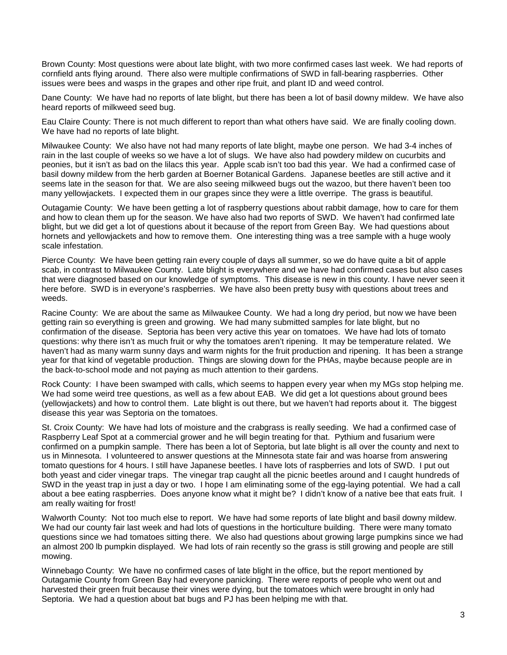Brown County: Most questions were about late blight, with two more confirmed cases last week. We had reports of cornfield ants flying around. There also were multiple confirmations of SWD in fall-bearing raspberries. Other issues were bees and wasps in the grapes and other ripe fruit, and plant ID and weed control.

Dane County: We have had no reports of late blight, but there has been a lot of basil downy mildew. We have also heard reports of milkweed seed bug.

Eau Claire County: There is not much different to report than what others have said. We are finally cooling down. We have had no reports of late blight.

Milwaukee County: We also have not had many reports of late blight, maybe one person. We had 3-4 inches of rain in the last couple of weeks so we have a lot of slugs. We have also had powdery mildew on cucurbits and peonies, but it isn't as bad on the lilacs this year. Apple scab isn't too bad this year. We had a confirmed case of basil downy mildew from the herb garden at Boerner Botanical Gardens. Japanese beetles are still active and it seems late in the season for that. We are also seeing milkweed bugs out the wazoo, but there haven't been too many yellowjackets. I expected them in our grapes since they were a little overripe. The grass is beautiful.

Outagamie County: We have been getting a lot of raspberry questions about rabbit damage, how to care for them and how to clean them up for the season. We have also had two reports of SWD. We haven't had confirmed late blight, but we did get a lot of questions about it because of the report from Green Bay. We had questions about hornets and yellowjackets and how to remove them. One interesting thing was a tree sample with a huge wooly scale infestation.

Pierce County: We have been getting rain every couple of days all summer, so we do have quite a bit of apple scab, in contrast to Milwaukee County. Late blight is everywhere and we have had confirmed cases but also cases that were diagnosed based on our knowledge of symptoms. This disease is new in this county. I have never seen it here before. SWD is in everyone's raspberries. We have also been pretty busy with questions about trees and weeds.

Racine County: We are about the same as Milwaukee County. We had a long dry period, but now we have been getting rain so everything is green and growing. We had many submitted samples for late blight, but no confirmation of the disease. Septoria has been very active this year on tomatoes. We have had lots of tomato questions: why there isn't as much fruit or why the tomatoes aren't ripening. It may be temperature related. We haven't had as many warm sunny days and warm nights for the fruit production and ripening. It has been a strange year for that kind of vegetable production. Things are slowing down for the PHAs, maybe because people are in the back-to-school mode and not paying as much attention to their gardens.

Rock County: I have been swamped with calls, which seems to happen every year when my MGs stop helping me. We had some weird tree questions, as well as a few about EAB. We did get a lot questions about ground bees (yellowjackets) and how to control them. Late blight is out there, but we haven't had reports about it. The biggest disease this year was Septoria on the tomatoes.

St. Croix County: We have had lots of moisture and the crabgrass is really seeding. We had a confirmed case of Raspberry Leaf Spot at a commercial grower and he will begin treating for that. Pythium and fusarium were confirmed on a pumpkin sample. There has been a lot of Septoria, but late blight is all over the county and next to us in Minnesota. I volunteered to answer questions at the Minnesota state fair and was hoarse from answering tomato questions for 4 hours. I still have Japanese beetles. I have lots of raspberries and lots of SWD. I put out both yeast and cider vinegar traps. The vinegar trap caught all the picnic beetles around and I caught hundreds of SWD in the yeast trap in just a day or two. I hope I am eliminating some of the egg-laying potential. We had a call about a bee eating raspberries. Does anyone know what it might be? I didn't know of a native bee that eats fruit. I am really waiting for frost!

Walworth County: Not too much else to report. We have had some reports of late blight and basil downy mildew. We had our county fair last week and had lots of questions in the horticulture building. There were many tomato questions since we had tomatoes sitting there. We also had questions about growing large pumpkins since we had an almost 200 lb pumpkin displayed. We had lots of rain recently so the grass is still growing and people are still mowing.

Winnebago County: We have no confirmed cases of late blight in the office, but the report mentioned by Outagamie County from Green Bay had everyone panicking. There were reports of people who went out and harvested their green fruit because their vines were dying, but the tomatoes which were brought in only had Septoria. We had a question about bat bugs and PJ has been helping me with that.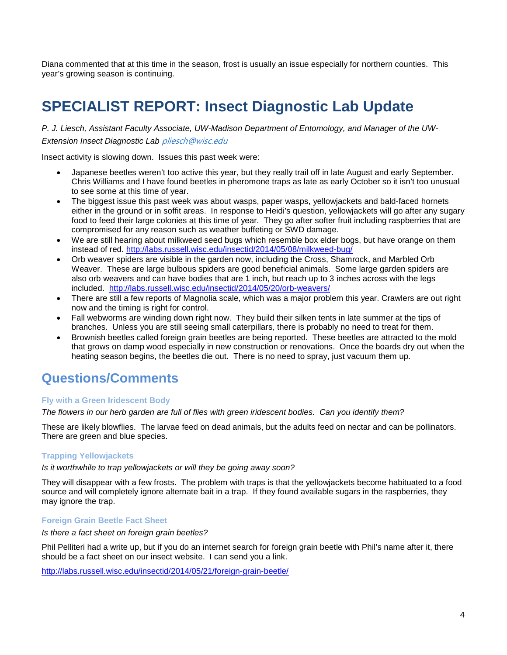Diana commented that at this time in the season, frost is usually an issue especially for northern counties. This year's growing season is continuing.

# **SPECIALIST REPORT: Insect Diagnostic Lab Update**

### *P. J. Liesch, Assistant Faculty Associate, UW-Madison Department of Entomology, and Manager of the UW-Extension Insect Diagnostic Lab* [pliesch@wisc.edu](mailto:pliesch@wisc.edu)

Insect activity is slowing down. Issues this past week were:

- Japanese beetles weren't too active this year, but they really trail off in late August and early September. Chris Williams and I have found beetles in pheromone traps as late as early October so it isn't too unusual to see some at this time of year.
- The biggest issue this past week was about wasps, paper wasps, yellowjackets and bald-faced hornets either in the ground or in soffit areas. In response to Heidi's question, yellowjackets will go after any sugary food to feed their large colonies at this time of year. They go after softer fruit including raspberries that are compromised for any reason such as weather buffeting or SWD damage.
- We are still hearing about milkweed seed bugs which resemble box elder bogs, but have orange on them instead of red. <http://labs.russell.wisc.edu/insectid/2014/05/08/milkweed-bug/>
- Orb weaver spiders are visible in the garden now, including the Cross, Shamrock, and Marbled Orb Weaver. These are large bulbous spiders are good beneficial animals. Some large garden spiders are also orb weavers and can have bodies that are 1 inch, but reach up to 3 inches across with the legs included. <http://labs.russell.wisc.edu/insectid/2014/05/20/orb-weavers/>
- There are still a few reports of Magnolia scale, which was a major problem this year. Crawlers are out right now and the timing is right for control.
- Fall webworms are winding down right now. They build their silken tents in late summer at the tips of branches. Unless you are still seeing small caterpillars, there is probably no need to treat for them.
- Brownish beetles called foreign grain beetles are being reported. These beetles are attracted to the mold that grows on damp wood especially in new construction or renovations. Once the boards dry out when the heating season begins, the beetles die out. There is no need to spray, just vacuum them up.

### **Questions/Comments**

### **Fly with a Green Iridescent Body**

*The flowers in our herb garden are full of flies with green iridescent bodies. Can you identify them?*

These are likely blowflies. The larvae feed on dead animals, but the adults feed on nectar and can be pollinators. There are green and blue species.

### **Trapping Yellowjackets**

#### *Is it worthwhile to trap yellowjackets or will they be going away soon?*

They will disappear with a few frosts. The problem with traps is that the yellowjackets become habituated to a food source and will completely ignore alternate bait in a trap. If they found available sugars in the raspberries, they may ignore the trap.

#### **Foreign Grain Beetle Fact Sheet**

*Is there a fact sheet on foreign grain beetles?*

Phil Pelliteri had a write up, but if you do an internet search for foreign grain beetle with Phil's name after it, there should be a fact sheet on our insect website. I can send you a link.

<http://labs.russell.wisc.edu/insectid/2014/05/21/foreign-grain-beetle/>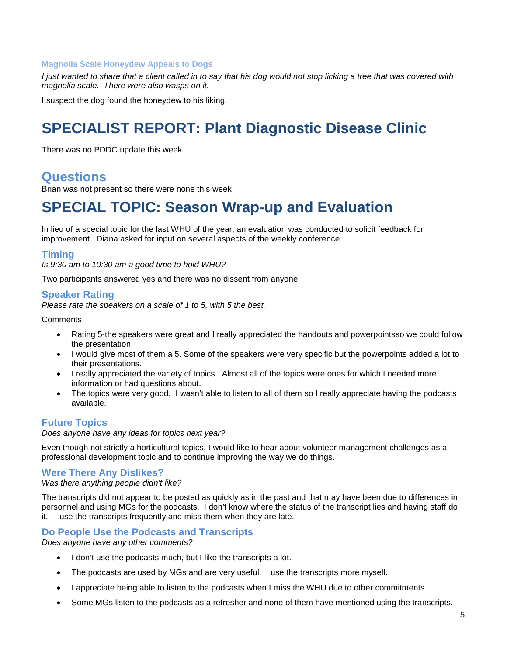### **Magnolia Scale Honeydew Appeals to Dogs**

*I* just wanted to share that a client called in to say that his dog would not stop licking a tree that was covered with *magnolia scale. There were also wasps on it.*

I suspect the dog found the honeydew to his liking.

## **SPECIALIST REPORT: Plant Diagnostic Disease Clinic**

There was no PDDC update this week.

### **Questions**

Brian was not present so there were none this week.

### **SPECIAL TOPIC: Season Wrap-up and Evaluation**

In lieu of a special topic for the last WHU of the year, an evaluation was conducted to solicit feedback for improvement. Diana asked for input on several aspects of the weekly conference.

### **Timing**

*Is 9:30 am to 10:30 am a good time to hold WHU?*

Two participants answered yes and there was no dissent from anyone.

### **Speaker Rating**

*Please rate the speakers on a scale of 1 to 5, with 5 the best.*

Comments:

- Rating 5-the speakers were great and I really appreciated the handouts and powerpointsso we could follow the presentation.
- I would give most of them a 5. Some of the speakers were very specific but the powerpoints added a lot to their presentations.
- I really appreciated the variety of topics. Almost all of the topics were ones for which I needed more information or had questions about.
- The topics were very good. I wasn't able to listen to all of them so I really appreciate having the podcasts available.

### **Future Topics**

*Does anyone have any ideas for topics next year?*

Even though not strictly a horticultural topics, I would like to hear about volunteer management challenges as a professional development topic and to continue improving the way we do things.

### **Were There Any Dislikes?**

*Was there anything people didn't like?*

The transcripts did not appear to be posted as quickly as in the past and that may have been due to differences in personnel and using MGs for the podcasts. I don't know where the status of the transcript lies and having staff do it. I use the transcripts frequently and miss them when they are late.

### **Do People Use the Podcasts and Transcripts**

*Does anyone have any other comments?*

- I don't use the podcasts much, but I like the transcripts a lot.
- The podcasts are used by MGs and are very useful. I use the transcripts more myself.
- I appreciate being able to listen to the podcasts when I miss the WHU due to other commitments.
- Some MGs listen to the podcasts as a refresher and none of them have mentioned using the transcripts.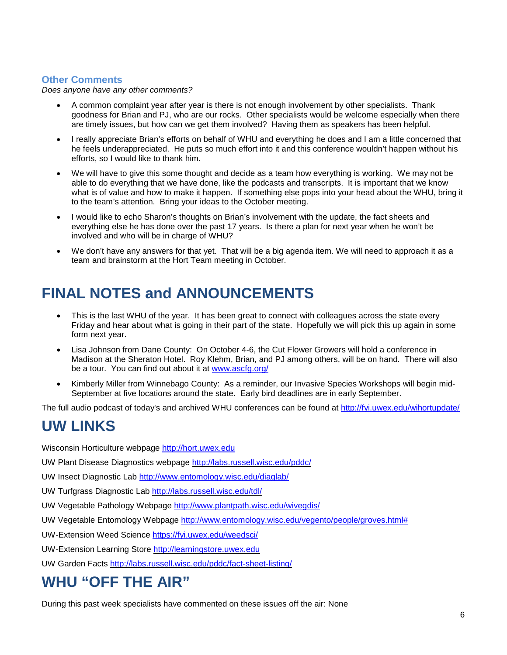### **Other Comments**

*Does anyone have any other comments?*

- A common complaint year after year is there is not enough involvement by other specialists. Thank goodness for Brian and PJ, who are our rocks. Other specialists would be welcome especially when there are timely issues, but how can we get them involved? Having them as speakers has been helpful.
- I really appreciate Brian's efforts on behalf of WHU and everything he does and I am a little concerned that he feels underappreciated. He puts so much effort into it and this conference wouldn't happen without his efforts, so I would like to thank him.
- We will have to give this some thought and decide as a team how everything is working. We may not be able to do everything that we have done, like the podcasts and transcripts. It is important that we know what is of value and how to make it happen. If something else pops into your head about the WHU, bring it to the team's attention. Bring your ideas to the October meeting.
- I would like to echo Sharon's thoughts on Brian's involvement with the update, the fact sheets and everything else he has done over the past 17 years. Is there a plan for next year when he won't be involved and who will be in charge of WHU?
- We don't have any answers for that yet. That will be a big agenda item. We will need to approach it as a team and brainstorm at the Hort Team meeting in October.

# **FINAL NOTES and ANNOUNCEMENTS**

- This is the last WHU of the year. It has been great to connect with colleagues across the state every Friday and hear about what is going in their part of the state. Hopefully we will pick this up again in some form next year.
- Lisa Johnson from Dane County: On October 4-6, the Cut Flower Growers will hold a conference in Madison at the Sheraton Hotel. Roy Klehm, Brian, and PJ among others, will be on hand. There will also be a tour. You can find out about it at [www.ascfg.org/](http://www.ascfg.org/)
- Kimberly Miller from Winnebago County: As a reminder, our Invasive Species Workshops will begin mid-September at five locations around the state. Early bird deadlines are in early September.

The full audio podcast of today's and archived WHU conferences can be found at<http://fyi.uwex.edu/wihortupdate/>

## **UW LINKS**

Wisconsin Horticulture webpage [http://hort.uwex.edu](http://hort.uwex.edu/)

UW Plant Disease Diagnostics webpage<http://labs.russell.wisc.edu/pddc/>

UW Insect Diagnostic Lab<http://www.entomology.wisc.edu/diaglab/>

UW Turfgrass Diagnostic Lab<http://labs.russell.wisc.edu/tdl/>

UW Vegetable Pathology Webpage<http://www.plantpath.wisc.edu/wivegdis/>

UW Vegetable Entomology Webpage [http://www.entomology.wisc.edu/vegento/people/groves.html#](http://www.entomology.wisc.edu/vegento/people/groves.html%23)

UW-Extension Weed Science https://fyi.uwex.edu/weedsci/

UW-Extension Learning Store [http://learningstore.uwex.edu](http://learningstore.uwex.edu/)

UW Garden Facts<http://labs.russell.wisc.edu/pddc/fact-sheet-listing/>

## **WHU "OFF THE AIR"**

During this past week specialists have commented on these issues off the air: None